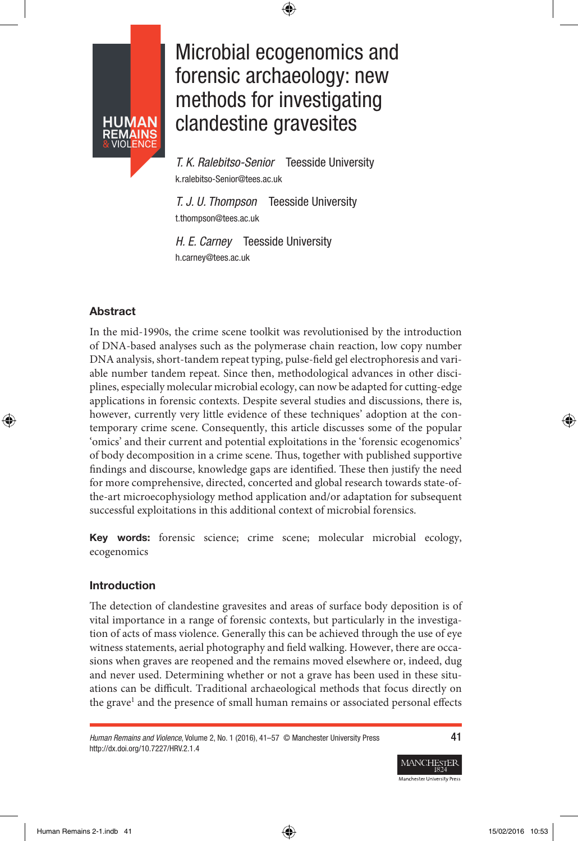

# Microbial ecogenomics and forensic archaeology: new methods for investigating clandestine gravesites

*T. K. Ralebitso-Senior* Teesside University k.ralebitso-Senior@tees.ac.uk

*T. J. U. Thompson* Teesside University t.thompson@tees.ac.uk

*H. E. Carney* Teesside University h.carney@tees.ac.uk

# Abstract

⊕

In the mid-1990s, the crime scene toolkit was revolutionised by the introduction of DNA-based analyses such as the polymerase chain reaction, low copy number DNA analysis, short-tandem repeat typing, pulse-field gel electrophoresis and variable number tandem repeat. Since then, methodological advances in other disciplines, especially molecular microbial ecology, can now be adapted for cutting-edge applications in forensic contexts. Despite several studies and discussions, there is, however, currently very little evidence of these techniques' adoption at the contemporary crime scene. Consequently, this article discusses some of the popular 'omics' and their current and potential exploitations in the 'forensic ecogenomics' of body decomposition in a crime scene. Thus, together with published supportive findings and discourse, knowledge gaps are identified. These then justify the need for more comprehensive, directed, concerted and global research towards state-ofthe-art microecophysiology method application and/or adaptation for subsequent successful exploitations in this additional context of microbial forensics.

Key words: forensic science; crime scene; molecular microbial ecology, ecogenomics

#### Introduction

The detection of clandestine gravesites and areas of surface body deposition is of vital importance in a range of forensic contexts, but particularly in the investigation of acts of mass violence. Generally this can be achieved through the use of eye witness statements, aerial photography and field walking. However, there are occasions when graves are reopened and the remains moved elsewhere or, indeed, dug and never used. Determining whether or not a grave has been used in these situations can be difficult. Traditional archaeological methods that focus directly on the grave<sup>1</sup> and the presence of small human remains or associated personal effects

*Human Remains and Violence*, Volume 2, No. 1 (2016), 41–57 © Manchester University Press 41 http://dx.doi.org/10.7227/HRV.2.1.4

**MANCHESTER** Manchester University Pres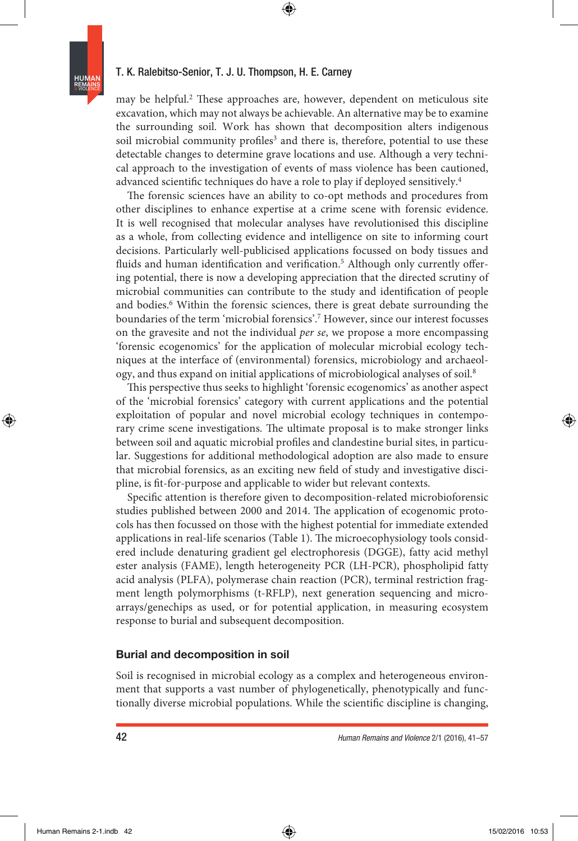

#### T. K. Ralebitso-Senior, T. J. U. Thompson, H. E. Carney

may be helpful.<sup>2</sup> These approaches are, however, dependent on meticulous site excavation, which may not always be achievable. An alternative may be to examine the surrounding soil. Work has shown that decomposition alters indigenous soil microbial community profiles<sup>3</sup> and there is, therefore, potential to use these detectable changes to determine grave locations and use. Although a very technical approach to the investigation of events of mass violence has been cautioned, advanced scientific techniques do have a role to play if deployed sensitively.4

⊕

The forensic sciences have an ability to co-opt methods and procedures from other disciplines to enhance expertise at a crime scene with forensic evidence. It is well recognised that molecular analyses have revolutionised this discipline as a whole, from collecting evidence and intelligence on site to informing court decisions. Particularly well-publicised applications focussed on body tissues and fluids and human identification and verification.<sup>5</sup> Although only currently offering potential, there is now a developing appreciation that the directed scrutiny of microbial communities can contribute to the study and identification of people and bodies.<sup>6</sup> Within the forensic sciences, there is great debate surrounding the boundaries of the term 'microbial forensics'.7 However, since our interest focusses on the gravesite and not the individual *per se*, we propose a more encompassing 'forensic ecogenomics' for the application of molecular microbial ecology techniques at the interface of (environmental) forensics, microbiology and archaeology, and thus expand on initial applications of microbiological analyses of soil.8

This perspective thus seeks to highlight 'forensic ecogenomics' as another aspect of the 'microbial forensics' category with current applications and the potential exploitation of popular and novel microbial ecology techniques in contemporary crime scene investigations. The ultimate proposal is to make stronger links between soil and aquatic microbial profiles and clandestine burial sites, in particular. Suggestions for additional methodological adoption are also made to ensure that microbial forensics, as an exciting new field of study and investigative discipline, is fit-for-purpose and applicable to wider but relevant contexts.

Specific attention is therefore given to decomposition-related microbioforensic studies published between 2000 and 2014. The application of ecogenomic protocols has then focussed on those with the highest potential for immediate extended applications in real-life scenarios (Table 1). The microecophysiology tools considered include denaturing gradient gel electrophoresis (DGGE), fatty acid methyl ester analysis (FAME), length heterogeneity PCR (LH-PCR), phospholipid fatty acid analysis (PLFA), polymerase chain reaction (PCR), terminal restriction fragment length polymorphisms (t-RFLP), next generation sequencing and microarrays/genechips as used, or for potential application, in measuring ecosystem response to burial and subsequent decomposition.

# Burial and decomposition in soil

Soil is recognised in microbial ecology as a complex and heterogeneous environment that supports a vast number of phylogenetically, phenotypically and functionally diverse microbial populations. While the scientific discipline is changing,

42

♠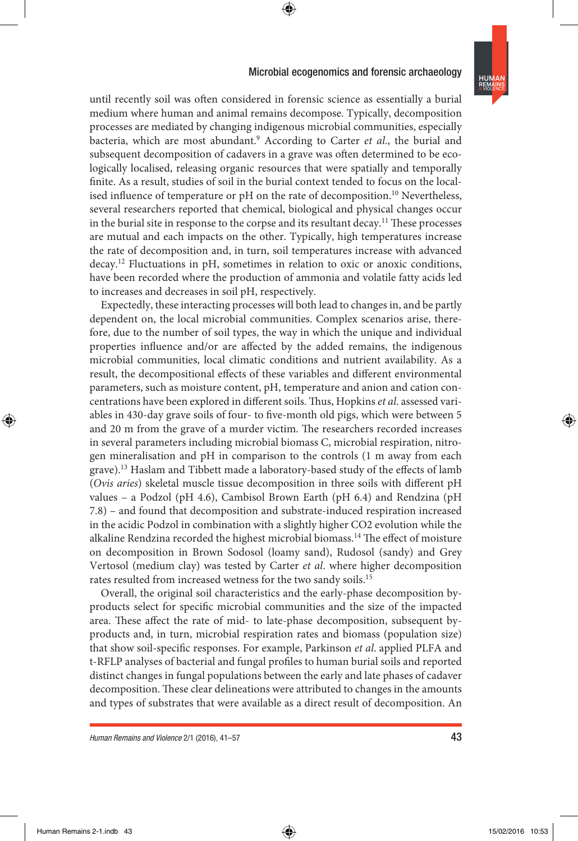

until recently soil was often considered in forensic science as essentially a burial medium where human and animal remains decompose. Typically, decomposition processes are mediated by changing indigenous microbial communities, especially bacteria, which are most abundant.<sup>9</sup> According to Carter *et al.*, the burial and subsequent decomposition of cadavers in a grave was often determined to be ecologically localised, releasing organic resources that were spatially and temporally finite. As a result, studies of soil in the burial context tended to focus on the localised influence of temperature or pH on the rate of decomposition.<sup>10</sup> Nevertheless, several researchers reported that chemical, biological and physical changes occur in the burial site in response to the corpse and its resultant decay.<sup>11</sup> These processes are mutual and each impacts on the other. Typically, high temperatures increase the rate of decomposition and, in turn, soil temperatures increase with advanced decay.12 Fluctuations in pH, sometimes in relation to oxic or anoxic conditions, have been recorded where the production of ammonia and volatile fatty acids led to increases and decreases in soil pH, respectively.

Expectedly, these interacting processes will both lead to changes in, and be partly dependent on, the local microbial communities. Complex scenarios arise, therefore, due to the number of soil types, the way in which the unique and individual properties influence and/or are affected by the added remains, the indigenous microbial communities, local climatic conditions and nutrient availability. As a result, the decompositional effects of these variables and different environmental parameters, such as moisture content, pH, temperature and anion and cation concentrations have been explored in different soils. Thus, Hopkins *et al*. assessed variables in 430-day grave soils of four- to five-month old pigs, which were between 5 and 20 m from the grave of a murder victim. The researchers recorded increases in several parameters including microbial biomass C, microbial respiration, nitrogen mineralisation and pH in comparison to the controls (1 m away from each grave).<sup>13</sup> Haslam and Tibbett made a laboratory-based study of the effects of lamb (*Ovis aries*) skeletal muscle tissue decomposition in three soils with different pH values – a Podzol (pH 4.6), Cambisol Brown Earth (pH 6.4) and Rendzina (pH 7.8) – and found that decomposition and substrate-induced respiration increased in the acidic Podzol in combination with a slightly higher CO2 evolution while the alkaline Rendzina recorded the highest microbial biomass.<sup>14</sup> The effect of moisture on decomposition in Brown Sodosol (loamy sand), Rudosol (sandy) and Grey Vertosol (medium clay) was tested by Carter *et al*. where higher decomposition rates resulted from increased wetness for the two sandy soils.15

Overall, the original soil characteristics and the early-phase decomposition byproducts select for specific microbial communities and the size of the impacted area. These affect the rate of mid- to late-phase decomposition, subsequent byproducts and, in turn, microbial respiration rates and biomass (population size) that show soil-specific responses. For example, Parkinson *et al*. applied PLFA and t-RFLP analyses of bacterial and fungal profiles to human burial soils and reported distinct changes in fungal populations between the early and late phases of cadaver decomposition. These clear delineations were attributed to changes in the amounts and types of substrates that were available as a direct result of decomposition. An

*Human Remains and Violence* 2/1 (2016), 41–57

⊕

♠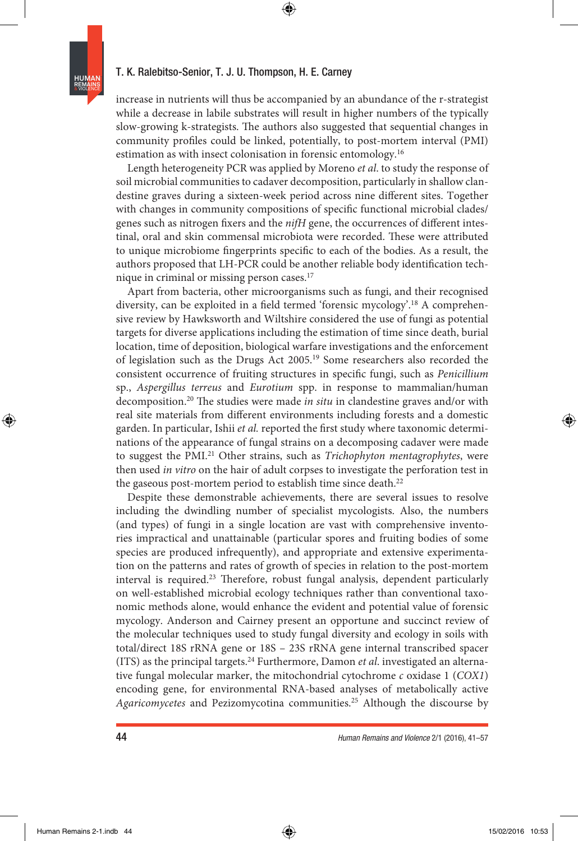

#### T. K. Ralebitso-Senior, T. J. U. Thompson, H. E. Carney

increase in nutrients will thus be accompanied by an abundance of the r-strategist while a decrease in labile substrates will result in higher numbers of the typically slow-growing k-strategists. The authors also suggested that sequential changes in community profiles could be linked, potentially, to post-mortem interval (PMI) estimation as with insect colonisation in forensic entomology.16

⊕

Length heterogeneity PCR was applied by Moreno *et al*. to study the response of soil microbial communities to cadaver decomposition, particularly in shallow clandestine graves during a sixteen-week period across nine different sites. Together with changes in community compositions of specific functional microbial clades/ genes such as nitrogen fixers and the *nifH* gene, the occurrences of different intestinal, oral and skin commensal microbiota were recorded. These were attributed to unique microbiome fingerprints specific to each of the bodies. As a result, the authors proposed that LH-PCR could be another reliable body identification technique in criminal or missing person cases.17

Apart from bacteria, other microorganisms such as fungi, and their recognised diversity, can be exploited in a field termed 'forensic mycology'.18 A comprehensive review by Hawksworth and Wiltshire considered the use of fungi as potential targets for diverse applications including the estimation of time since death, burial location, time of deposition, biological warfare investigations and the enforcement of legislation such as the Drugs Act 2005.19 Some researchers also recorded the consistent occurrence of fruiting structures in specific fungi, such as *Penicillium* sp., *Aspergillus terreus* and *Eurotium* spp. in response to mammalian/human decomposition.20 The studies were made *in situ* in clandestine graves and/or with real site materials from different environments including forests and a domestic garden. In particular, Ishii *et al.* reported the first study where taxonomic determinations of the appearance of fungal strains on a decomposing cadaver were made to suggest the PMI.21 Other strains, such as *Trichophyton mentagrophytes*, were then used *in vitro* on the hair of adult corpses to investigate the perforation test in the gaseous post-mortem period to establish time since death.<sup>22</sup>

Despite these demonstrable achievements, there are several issues to resolve including the dwindling number of specialist mycologists. Also, the numbers (and types) of fungi in a single location are vast with comprehensive inventories impractical and unattainable (particular spores and fruiting bodies of some species are produced infrequently), and appropriate and extensive experimentation on the patterns and rates of growth of species in relation to the post-mortem interval is required.23 Therefore, robust fungal analysis, dependent particularly on well-established microbial ecology techniques rather than conventional taxonomic methods alone, would enhance the evident and potential value of forensic mycology. Anderson and Cairney present an opportune and succinct review of the molecular techniques used to study fungal diversity and ecology in soils with total/direct 18S rRNA gene or 18S – 23S rRNA gene internal transcribed spacer (ITS) as the principal targets.24 Furthermore, Damon *et al*. investigated an alternative fungal molecular marker, the mitochondrial cytochrome *c* oxidase 1 (*COX1*) encoding gene, for environmental RNA-based analyses of metabolically active *Agaricomycetes* and Pezizomycotina communities.25 Although the discourse by

♠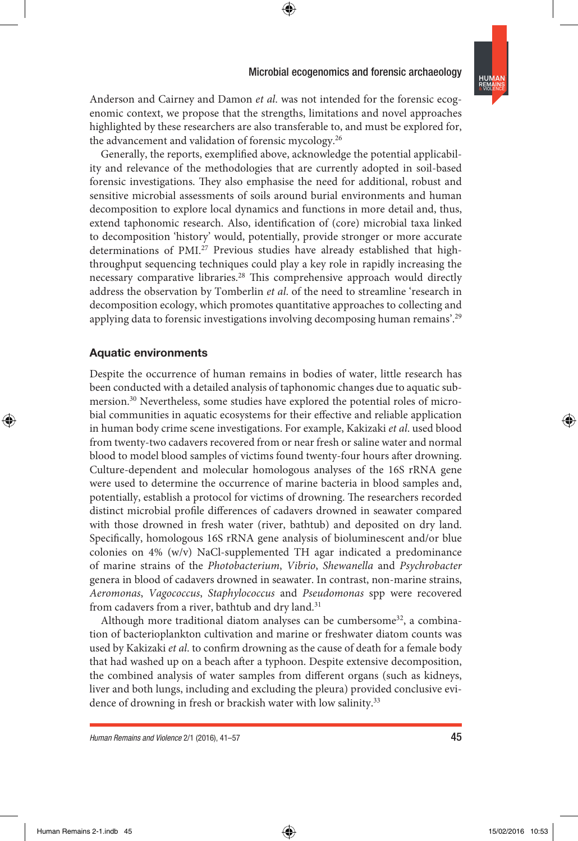

Anderson and Cairney and Damon *et al*. was not intended for the forensic ecogenomic context, we propose that the strengths, limitations and novel approaches highlighted by these researchers are also transferable to, and must be explored for, the advancement and validation of forensic mycology.26

⊕

Generally, the reports, exemplified above, acknowledge the potential applicability and relevance of the methodologies that are currently adopted in soil-based forensic investigations. They also emphasise the need for additional, robust and sensitive microbial assessments of soils around burial environments and human decomposition to explore local dynamics and functions in more detail and, thus, extend taphonomic research. Also, identification of (core) microbial taxa linked to decomposition 'history' would, potentially, provide stronger or more accurate determinations of PMI.<sup>27</sup> Previous studies have already established that highthroughput sequencing techniques could play a key role in rapidly increasing the necessary comparative libraries.28 This comprehensive approach would directly address the observation by Tomberlin *et al*. of the need to streamline 'research in decomposition ecology, which promotes quantitative approaches to collecting and applying data to forensic investigations involving decomposing human remains'.<sup>29</sup>

#### Aquatic environments

⊕

Despite the occurrence of human remains in bodies of water, little research has been conducted with a detailed analysis of taphonomic changes due to aquatic submersion.30 Nevertheless, some studies have explored the potential roles of microbial communities in aquatic ecosystems for their effective and reliable application in human body crime scene investigations. For example, Kakizaki *et al*. used blood from twenty-two cadavers recovered from or near fresh or saline water and normal blood to model blood samples of victims found twenty-four hours after drowning. Culture-dependent and molecular homologous analyses of the 16S rRNA gene were used to determine the occurrence of marine bacteria in blood samples and, potentially, establish a protocol for victims of drowning. The researchers recorded distinct microbial profile differences of cadavers drowned in seawater compared with those drowned in fresh water (river, bathtub) and deposited on dry land. Specifically, homologous 16S rRNA gene analysis of bioluminescent and/or blue colonies on 4% (w/v) NaCl-supplemented TH agar indicated a predominance of marine strains of the *Photobacterium*, *Vibrio*, *Shewanella* and *Psychrobacter* genera in blood of cadavers drowned in seawater. In contrast, non-marine strains, *Aeromonas*, *Vagococcus*, *Staphylococcus* and *Pseudomonas* spp were recovered from cadavers from a river, bathtub and dry land.<sup>31</sup>

Although more traditional diatom analyses can be cumbersome<sup>32</sup>, a combination of bacterioplankton cultivation and marine or freshwater diatom counts was used by Kakizaki *et al*. to confirm drowning as the cause of death for a female body that had washed up on a beach after a typhoon. Despite extensive decomposition, the combined analysis of water samples from different organs (such as kidneys, liver and both lungs, including and excluding the pleura) provided conclusive evidence of drowning in fresh or brackish water with low salinity.<sup>33</sup>

*Human Remains and Violence* 2/1 (2016), 41–57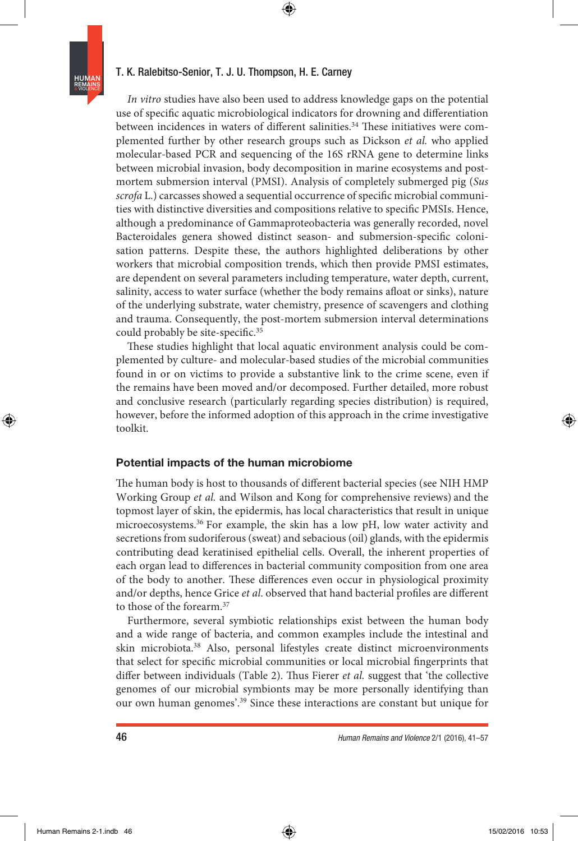

### T. K. Ralebitso-Senior, T. J. U. Thompson, H. E. Carney

*In vitro* studies have also been used to address knowledge gaps on the potential use of specific aquatic microbiological indicators for drowning and differentiation between incidences in waters of different salinities.<sup>34</sup> These initiatives were complemented further by other research groups such as Dickson *et al.* who applied molecular-based PCR and sequencing of the 16S rRNA gene to determine links between microbial invasion, body decomposition in marine ecosystems and postmortem submersion interval (PMSI). Analysis of completely submerged pig (*Sus scrofa* L.) carcasses showed a sequential occurrence of specific microbial communities with distinctive diversities and compositions relative to specific PMSIs. Hence, although a predominance of Gammaproteobacteria was generally recorded, novel Bacteroidales genera showed distinct season- and submersion-specific colonisation patterns. Despite these, the authors highlighted deliberations by other workers that microbial composition trends, which then provide PMSI estimates, are dependent on several parameters including temperature, water depth, current, salinity, access to water surface (whether the body remains afloat or sinks), nature of the underlying substrate, water chemistry, presence of scavengers and clothing and trauma. Consequently, the post-mortem submersion interval determinations could probably be site-specific.<sup>35</sup>

⊕

These studies highlight that local aquatic environment analysis could be complemented by culture- and molecular-based studies of the microbial communities found in or on victims to provide a substantive link to the crime scene, even if the remains have been moved and/or decomposed. Further detailed, more robust and conclusive research (particularly regarding species distribution) is required, however, before the informed adoption of this approach in the crime investigative toolkit.

# Potential impacts of the human microbiome

The human body is host to thousands of different bacterial species (see NIH HMP Working Group *et al.* and Wilson and Kong for comprehensive reviews) and the topmost layer of skin, the epidermis, has local characteristics that result in unique microecosystems.36 For example, the skin has a low pH, low water activity and secretions from sudoriferous (sweat) and sebacious (oil) glands, with the epidermis contributing dead keratinised epithelial cells. Overall, the inherent properties of each organ lead to differences in bacterial community composition from one area of the body to another. These differences even occur in physiological proximity and/or depths, hence Grice *et al*. observed that hand bacterial profiles are different to those of the forearm.37

Furthermore, several symbiotic relationships exist between the human body and a wide range of bacteria, and common examples include the intestinal and skin microbiota.38 Also, personal lifestyles create distinct microenvironments that select for specific microbial communities or local microbial fingerprints that differ between individuals (Table 2). Thus Fierer *et al.* suggest that 'the collective genomes of our microbial symbionts may be more personally identifying than our own human genomes'.39 Since these interactions are constant but unique for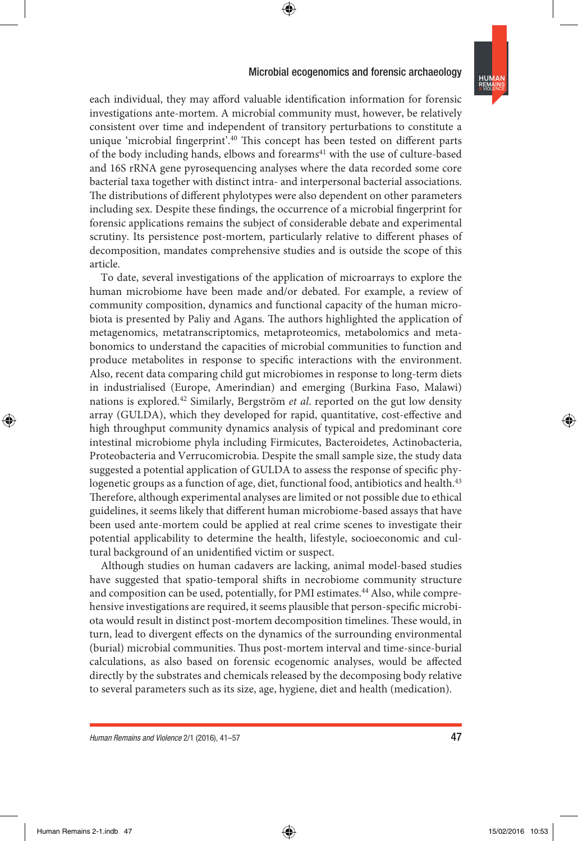

each individual, they may afford valuable identification information for forensic investigations ante-mortem. A microbial community must, however, be relatively consistent over time and independent of transitory perturbations to constitute a unique 'microbial fingerprint'.<sup>40</sup> This concept has been tested on different parts of the body including hands, elbows and forearms<sup>41</sup> with the use of culture-based and 16S rRNA gene pyrosequencing analyses where the data recorded some core bacterial taxa together with distinct intra- and interpersonal bacterial associations. The distributions of different phylotypes were also dependent on other parameters including sex. Despite these findings, the occurrence of a microbial fingerprint for forensic applications remains the subject of considerable debate and experimental scrutiny. Its persistence post-mortem, particularly relative to different phases of decomposition, mandates comprehensive studies and is outside the scope of this article.

⊕

To date, several investigations of the application of microarrays to explore the human microbiome have been made and/or debated. For example, a review of community composition, dynamics and functional capacity of the human microbiota is presented by Paliy and Agans. The authors highlighted the application of metagenomics, metatranscriptomics, metaproteomics, metabolomics and metabonomics to understand the capacities of microbial communities to function and produce metabolites in response to specific interactions with the environment. Also, recent data comparing child gut microbiomes in response to long-term diets in industrialised (Europe, Amerindian) and emerging (Burkina Faso, Malawi) nations is explored.42 Similarly, Bergström *et al*. reported on the gut low density array (GULDA), which they developed for rapid, quantitative, cost-effective and high throughput community dynamics analysis of typical and predominant core intestinal microbiome phyla including Firmicutes, Bacteroidetes, Actinobacteria, Proteobacteria and Verrucomicrobia. Despite the small sample size, the study data suggested a potential application of GULDA to assess the response of specific phylogenetic groups as a function of age, diet, functional food, antibiotics and health.<sup>43</sup> Therefore, although experimental analyses are limited or not possible due to ethical guidelines, it seems likely that different human microbiome-based assays that have been used ante-mortem could be applied at real crime scenes to investigate their potential applicability to determine the health, lifestyle, socioeconomic and cultural background of an unidentified victim or suspect.

Although studies on human cadavers are lacking, animal model-based studies have suggested that spatio-temporal shifts in necrobiome community structure and composition can be used, potentially, for PMI estimates.<sup>44</sup> Also, while comprehensive investigations are required, it seems plausible that person-specific microbiota would result in distinct post-mortem decomposition timelines. These would, in turn, lead to divergent effects on the dynamics of the surrounding environmental (burial) microbial communities. Thus post-mortem interval and time-since-burial calculations, as also based on forensic ecogenomic analyses, would be affected directly by the substrates and chemicals released by the decomposing body relative to several parameters such as its size, age, hygiene, diet and health (medication).

*Human Remains and Violence* 2/1 (2016), 41–57

⊕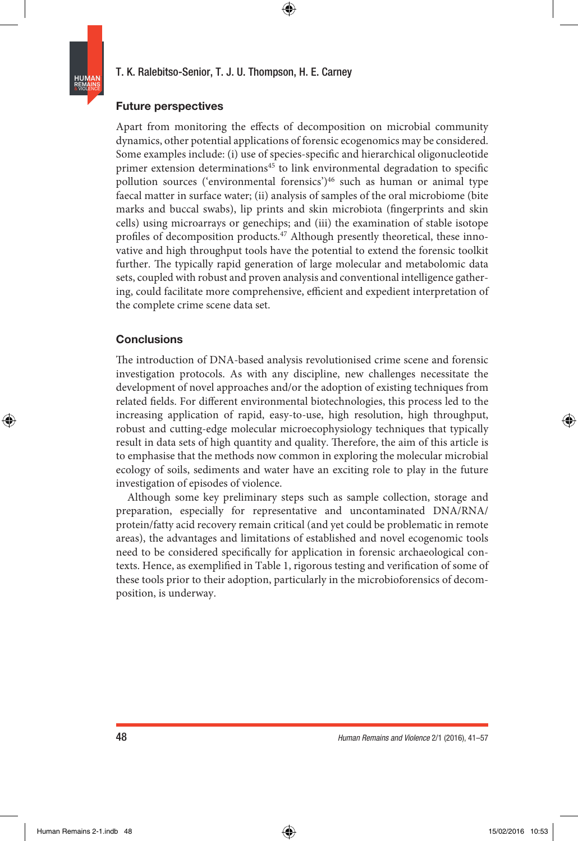

# T. K. Ralebitso-Senior, T. J. U. Thompson, H. E. Carney

# Future perspectives

Apart from monitoring the effects of decomposition on microbial community dynamics, other potential applications of forensic ecogenomics may be considered. Some examples include: (i) use of species-specific and hierarchical oligonucleotide primer extension determinations<sup>45</sup> to link environmental degradation to specific pollution sources ('environmental forensics')<sup>46</sup> such as human or animal type faecal matter in surface water; (ii) analysis of samples of the oral microbiome (bite marks and buccal swabs), lip prints and skin microbiota (fingerprints and skin cells) using microarrays or genechips; and (iii) the examination of stable isotope profiles of decomposition products.<sup>47</sup> Although presently theoretical, these innovative and high throughput tools have the potential to extend the forensic toolkit further. The typically rapid generation of large molecular and metabolomic data sets, coupled with robust and proven analysis and conventional intelligence gathering, could facilitate more comprehensive, efficient and expedient interpretation of the complete crime scene data set.

⊕

# **Conclusions**

The introduction of DNA-based analysis revolutionised crime scene and forensic investigation protocols. As with any discipline, new challenges necessitate the development of novel approaches and/or the adoption of existing techniques from related fields. For different environmental biotechnologies, this process led to the increasing application of rapid, easy-to-use, high resolution, high throughput, robust and cutting-edge molecular microecophysiology techniques that typically result in data sets of high quantity and quality. Therefore, the aim of this article is to emphasise that the methods now common in exploring the molecular microbial ecology of soils, sediments and water have an exciting role to play in the future investigation of episodes of violence.

Although some key preliminary steps such as sample collection, storage and preparation, especially for representative and uncontaminated DNA/RNA/ protein/fatty acid recovery remain critical (and yet could be problematic in remote areas), the advantages and limitations of established and novel ecogenomic tools need to be considered specifically for application in forensic archaeological contexts. Hence, as exemplified in Table 1, rigorous testing and verification of some of these tools prior to their adoption, particularly in the microbioforensics of decomposition, is underway.

48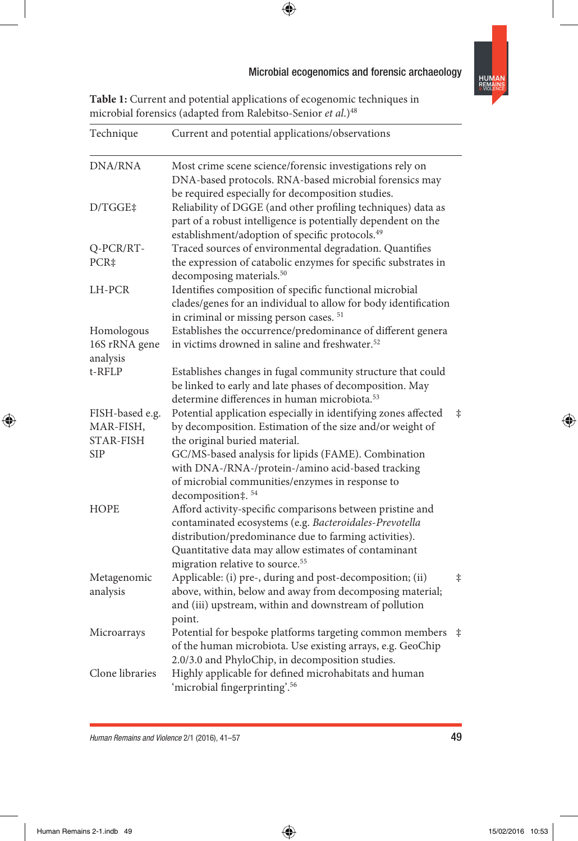

**Table 1:** Current and potential applications of ecogenomic techniques in microbial forensics (adapted from Ralebitso-Senior *et al*.)48

 $\bigoplus$ 

| Technique                                 | Current and potential applications/observations                                                                                                                                                                                                                                     |            |
|-------------------------------------------|-------------------------------------------------------------------------------------------------------------------------------------------------------------------------------------------------------------------------------------------------------------------------------------|------------|
| <b>DNA/RNA</b>                            | Most crime scene science/forensic investigations rely on<br>DNA-based protocols. RNA-based microbial forensics may<br>be required especially for decomposition studies.                                                                                                             |            |
| $D/TGGE$ ‡                                | Reliability of DGGE (and other profiling techniques) data as<br>part of a robust intelligence is potentially dependent on the<br>establishment/adoption of specific protocols. <sup>49</sup>                                                                                        |            |
| Q-PCR/RT-<br>PCR <sup>‡</sup>             | Traced sources of environmental degradation. Quantifies<br>the expression of catabolic enzymes for specific substrates in<br>decomposing materials. <sup>50</sup>                                                                                                                   |            |
| LH-PCR                                    | Identifies composition of specific functional microbial<br>clades/genes for an individual to allow for body identification<br>in criminal or missing person cases. <sup>51</sup>                                                                                                    |            |
| Homologous<br>16S rRNA gene<br>analysis   | Establishes the occurrence/predominance of different genera<br>in victims drowned in saline and freshwater. <sup>52</sup>                                                                                                                                                           |            |
| $t$ -RFLP                                 | Establishes changes in fugal community structure that could<br>be linked to early and late phases of decomposition. May<br>determine differences in human microbiota. <sup>53</sup>                                                                                                 |            |
| FISH-based e.g.<br>MAR-FISH,<br>STAR-FISH | Potential application especially in identifying zones affected<br>by decomposition. Estimation of the size and/or weight of<br>the original buried material.                                                                                                                        | $\ddagger$ |
| <b>SIP</b>                                | GC/MS-based analysis for lipids (FAME). Combination<br>with DNA-/RNA-/protein-/amino acid-based tracking<br>of microbial communities/enzymes in response to<br>decomposition‡. <sup>54</sup>                                                                                        |            |
| <b>HOPE</b>                               | Afford activity-specific comparisons between pristine and<br>contaminated ecosystems (e.g. Bacteroidales-Prevotella<br>distribution/predominance due to farming activities).<br>Quantitative data may allow estimates of contaminant<br>migration relative to source. <sup>55</sup> |            |
| Metagenomic<br>analysis                   | Applicable: (i) pre-, during and post-decomposition; (ii)<br>above, within, below and away from decomposing material;<br>and (iii) upstream, within and downstream of pollution<br>point.                                                                                           | $\ddagger$ |
| Microarrays                               | Potential for bespoke platforms targeting common members<br>of the human microbiota. Use existing arrays, e.g. GeoChip<br>2.0/3.0 and PhyloChip, in decomposition studies.                                                                                                          | $\ddagger$ |
| Clone libraries                           | Highly applicable for defined microhabitats and human<br>'microbial fingerprinting'. <sup>56</sup>                                                                                                                                                                                  |            |

*Human Remains and Violence* 2/1 (2016), 41–57

49

 $\bigoplus$ 

 $\bigoplus$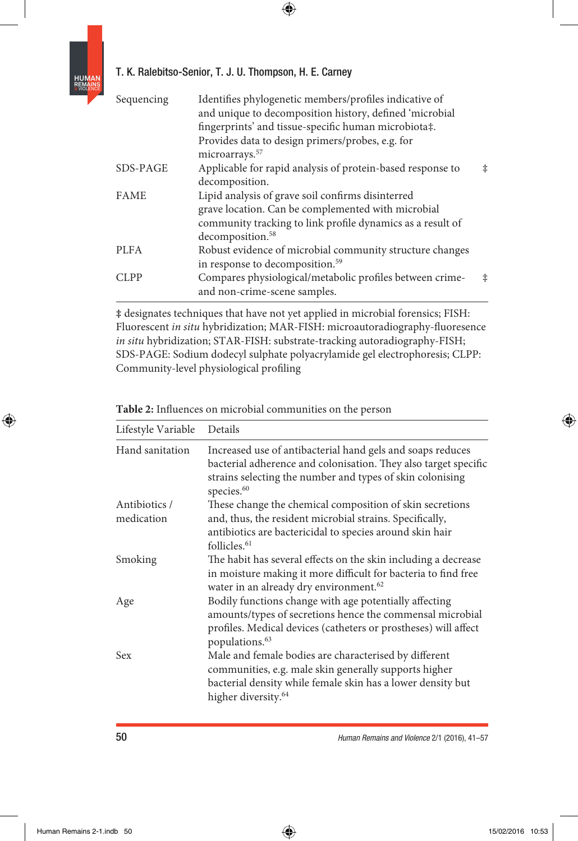

# T. K. Ralebitso-Senior, T. J. U. Thompson, H. E. Carney

| Sequencing  | Identifies phylogenetic members/profiles indicative of<br>and unique to decomposition history, defined 'microbial<br>fingerprints' and tissue-specific human microbiota‡.<br>Provides data to design primers/probes, e.g. for<br>microarrays. <sup>57</sup> |            |
|-------------|-------------------------------------------------------------------------------------------------------------------------------------------------------------------------------------------------------------------------------------------------------------|------------|
| SDS-PAGE    | Applicable for rapid analysis of protein-based response to<br>decomposition.                                                                                                                                                                                | ⇟          |
| <b>FAME</b> | Lipid analysis of grave soil confirms disinterred<br>grave location. Can be complemented with microbial<br>community tracking to link profile dynamics as a result of<br>decomposition. <sup>58</sup>                                                       |            |
| <b>PLFA</b> | Robust evidence of microbial community structure changes<br>in response to decomposition. <sup>59</sup>                                                                                                                                                     |            |
| <b>CLPP</b> | Compares physiological/metabolic profiles between crime-<br>and non-crime-scene samples.                                                                                                                                                                    | $\ddagger$ |

 $\bigoplus$ 

**‡** designates techniques that have not yet applied in microbial forensics; FISH: Fluorescent *in situ* hybridization; MAR-FISH: microautoradiography-fluoresence *in situ* hybridization; STAR-FISH: substrate-tracking autoradiography-FISH; SDS-PAGE: Sodium dodecyl sulphate polyacrylamide gel electrophoresis; CLPP: Community-level physiological profiling

**Table 2:** Influences on microbial communities on the person

| Lifestyle Variable          | Details                                                                                                                                                                                                              |
|-----------------------------|----------------------------------------------------------------------------------------------------------------------------------------------------------------------------------------------------------------------|
| Hand sanitation             | Increased use of antibacterial hand gels and soaps reduces<br>bacterial adherence and colonisation. They also target specific<br>strains selecting the number and types of skin colonising<br>species. $60$          |
| Antibiotics /<br>medication | These change the chemical composition of skin secretions<br>and, thus, the resident microbial strains. Specifically,<br>antibiotics are bactericidal to species around skin hair<br>follow.61                        |
| Smoking                     | The habit has several effects on the skin including a decrease<br>in moisture making it more difficult for bacteria to find free<br>water in an already dry environment. <sup>62</sup>                               |
| Age                         | Bodily functions change with age potentially affecting<br>amounts/types of secretions hence the commensal microbial<br>profiles. Medical devices (catheters or prostheses) will affect<br>populations. <sup>63</sup> |
| Sex                         | Male and female bodies are characterised by different<br>communities, e.g. male skin generally supports higher<br>bacterial density while female skin has a lower density but<br>higher diversity. <sup>64</sup>     |

*Human Remains and Violence* 2/1 (2016), 41–57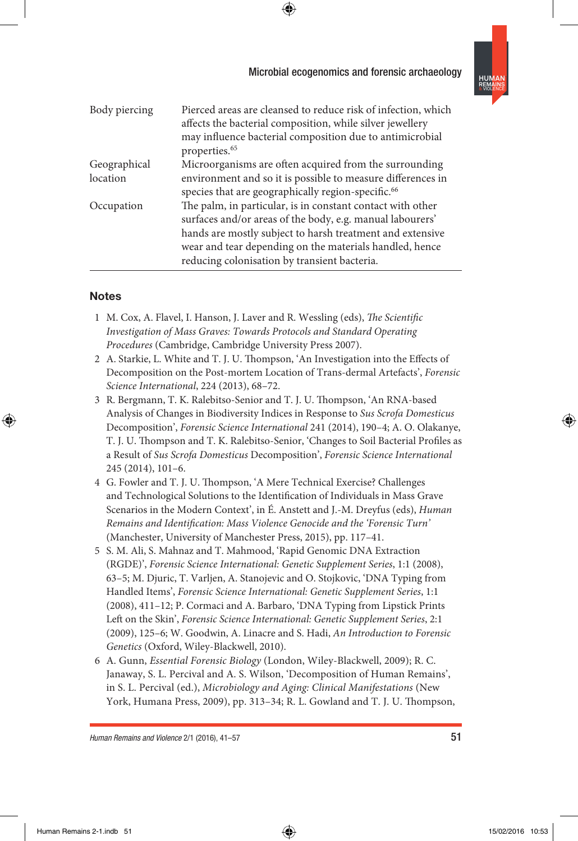

| Body piercing            | Pierced areas are cleansed to reduce risk of infection, which<br>affects the bacterial composition, while silver jewellery<br>may influence bacterial composition due to antimicrobial<br>properties. <sup>65</sup>                                                                             |
|--------------------------|-------------------------------------------------------------------------------------------------------------------------------------------------------------------------------------------------------------------------------------------------------------------------------------------------|
| Geographical<br>location | Microorganisms are often acquired from the surrounding<br>environment and so it is possible to measure differences in<br>species that are geographically region-specific. <sup>66</sup>                                                                                                         |
| Occupation               | The palm, in particular, is in constant contact with other<br>surfaces and/or areas of the body, e.g. manual labourers'<br>hands are mostly subject to harsh treatment and extensive<br>wear and tear depending on the materials handled, hence<br>reducing colonisation by transient bacteria. |

# **Notes**

⊕

- 1 M. Cox, A. Flavel, I. Hanson, J. Laver and R. Wessling (eds), *The Scientific Investigation of Mass Graves: Towards Protocols and Standard Operating Procedures* (Cambridge, Cambridge University Press 2007).
- 2 A. Starkie, L. White and T. J. U. Thompson, 'An Investigation into the Effects of Decomposition on the Post-mortem Location of Trans-dermal Artefacts', *Forensic Science International*, 224 (2013), 68–72.
- 3 R. Bergmann, T. K. Ralebitso-Senior and T. J. U. Thompson, 'An RNA-based Analysis of Changes in Biodiversity Indices in Response to *Sus Scrofa Domesticus* Decomposition', *Forensic Science International* 241 (2014), 190–4; A. O. Olakanye, T. J. U. Thompson and T. K. Ralebitso-Senior, 'Changes to Soil Bacterial Profiles as a Result of *Sus Scrofa Domesticus* Decomposition', *Forensic Science International* 245 (2014), 101–6.
- 4 G. Fowler and T. J. U. Thompson, 'A Mere Technical Exercise? Challenges and Technological Solutions to the Identification of Individuals in Mass Grave Scenarios in the Modern Context', in É. Anstett and J.-M. Dreyfus (eds), *Human Remains and Identification: Mass Violence Genocide and the 'Forensic Turn'* (Manchester, University of Manchester Press, 2015), pp. 117–41.
- 5 S. M. Ali, S. Mahnaz and T. Mahmood, 'Rapid Genomic DNA Extraction (RGDE)', *Forensic Science International: Genetic Supplement Series*, 1:1 (2008), 63–5; M. Djuric, T. Varljen, A. Stanojevic and O. Stojkovic, 'DNA Typing from Handled Items', *Forensic Science International: Genetic Supplement Series*, 1:1 (2008), 411–12; P. Cormaci and A. Barbaro, 'DNA Typing from Lipstick Prints Left on the Skin', *Forensic Science International: Genetic Supplement Series*, 2:1 (2009), 125–6; W. Goodwin, A. Linacre and S. Hadi, *An Introduction to Forensic Genetics* (Oxford, Wiley-Blackwell, 2010).
- 6 A. Gunn, *Essential Forensic Biology* (London, Wiley-Blackwell, 2009); R. C. Janaway, S. L. Percival and A. S. Wilson, 'Decomposition of Human Remains', in S. L. Percival (ed.), *Microbiology and Aging: Clinical Manifestations* (New York, Humana Press, 2009), pp. 313–34; R. L. Gowland and T. J. U. Thompson,

*Human Remains and Violence* 2/1 (2016), 41–57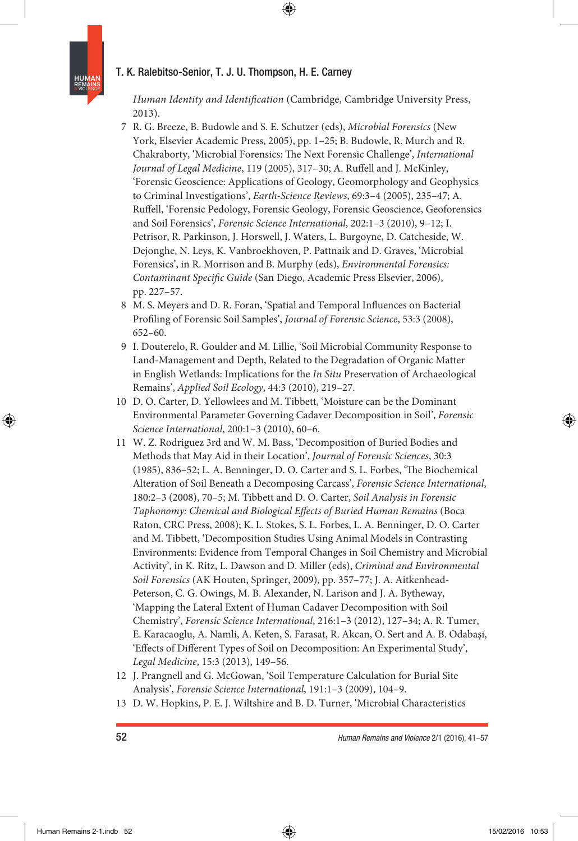

# T. K. Ralebitso-Senior, T. J. U. Thompson, H. E. Carney

*Human Identity and Identification* (Cambridge, Cambridge University Press, 2013).

- 7 R. G. Breeze, B. Budowle and S. E. Schutzer (eds), *Microbial Forensics* (New York, Elsevier Academic Press, 2005), pp. 1–25; B. Budowle, R. Murch and R. Chakraborty, 'Microbial Forensics: The Next Forensic Challenge', *International Journal of Legal Medicine*, 119 (2005), 317–30; A. Ruffell and J. McKinley, 'Forensic Geoscience: Applications of Geology, Geomorphology and Geophysics to Criminal Investigations', *Earth-Science Reviews*, 69:3–4 (2005), 235–47; A. Ruffell, 'Forensic Pedology, Forensic Geology, Forensic Geoscience, Geoforensics and Soil Forensics', *Forensic Science International*, 202:1–3 (2010), 9–12; I. Petrisor, R. Parkinson, J. Horswell, J. Waters, L. Burgoyne, D. Catcheside, W. Dejonghe, N. Leys, K. Vanbroekhoven, P. Pattnaik and D. Graves, 'Microbial Forensics', in R. Morrison and B. Murphy (eds), *Environmental Forensics: Contaminant Specific Guide* (San Diego, Academic Press Elsevier, 2006), pp. 227–57.
- 8 M. S. Meyers and D. R. Foran, 'Spatial and Temporal Influences on Bacterial Profiling of Forensic Soil Samples', *Journal of Forensic Science*, 53:3 (2008), 652–60.
- 9 I. Douterelo, R. Goulder and M. Lillie, 'Soil Microbial Community Response to Land-Management and Depth, Related to the Degradation of Organic Matter in English Wetlands: Implications for the *In Situ* Preservation of Archaeological Remains', *Applied Soil Ecology*, 44:3 (2010), 219–27.
- 10 D. O. Carter, D. Yellowlees and M. Tibbett, 'Moisture can be the Dominant Environmental Parameter Governing Cadaver Decomposition in Soil', *Forensic Science International*, 200:1–3 (2010), 60–6.
- 11 W. Z. Rodriguez 3rd and W. M. Bass, 'Decomposition of Buried Bodies and Methods that May Aid in their Location', *Journal of Forensic Sciences*, 30:3 (1985), 836–52; L. A. Benninger, D. O. Carter and S. L. Forbes, 'The Biochemical Alteration of Soil Beneath a Decomposing Carcass', *Forensic Science International*, 180:2–3 (2008), 70–5; M. Tibbett and D. O. Carter, *Soil Analysis in Forensic Taphonomy: Chemical and Biological Effects of Buried Human Remains* (Boca Raton, CRC Press, 2008); K. L. Stokes, S. L. Forbes, L. A. Benninger, D. O. Carter and M. Tibbett, 'Decomposition Studies Using Animal Models in Contrasting Environments: Evidence from Temporal Changes in Soil Chemistry and Microbial Activity', in K. Ritz, L. Dawson and D. Miller (eds), *Criminal and Environmental Soil Forensics* (AK Houten, Springer, 2009), pp. 357–77; J. A. Aitkenhead-Peterson, C. G. Owings, M. B. Alexander, N. Larison and J. A. Bytheway, 'Mapping the Lateral Extent of Human Cadaver Decomposition with Soil Chemistry', *Forensic Science International*, 216:1–3 (2012), 127–34; A. R. Tumer, E. Karacaoglu, A. Namli, A. Keten, S. Farasat, R. Akcan, O. Sert and A. B. Odabaşi, 'Effects of Different Types of Soil on Decomposition: An Experimental Study', *Legal Medicine*, 15:3 (2013), 149–56.
- 12 J. Prangnell and G. McGowan, 'Soil Temperature Calculation for Burial Site Analysis', *Forensic Science International*, 191:1–3 (2009), 104–9.
- 13 D. W. Hopkins, P. E. J. Wiltshire and B. D. Turner, 'Microbial Characteristics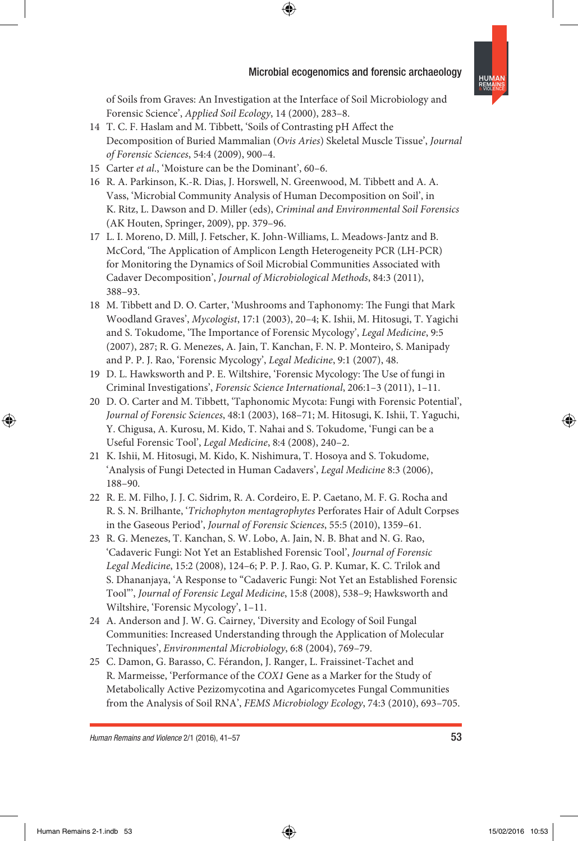

of Soils from Graves: An Investigation at the Interface of Soil Microbiology and Forensic Science', *Applied Soil Ecology*, 14 (2000), 283–8.

- 14 T. C. F. Haslam and M. Tibbett, 'Soils of Contrasting pH Affect the Decomposition of Buried Mammalian (*Ovis Aries*) Skeletal Muscle Tissue', *Journal of Forensic Sciences*, 54:4 (2009), 900–4.
- 15 Carter *et al*., 'Moisture can be the Dominant', 60–6.
- 16 R. A. Parkinson, K.-R. Dias, J. Horswell, N. Greenwood, M. Tibbett and A. A. Vass, 'Microbial Community Analysis of Human Decomposition on Soil', in K. Ritz, L. Dawson and D. Miller (eds), *Criminal and Environmental Soil Forensics* (AK Houten, Springer, 2009), pp. 379–96.
- 17 L. I. Moreno, D. Mill, J. Fetscher, K. John-Williams, L. Meadows-Jantz and B. McCord, 'The Application of Amplicon Length Heterogeneity PCR (LH-PCR) for Monitoring the Dynamics of Soil Microbial Communities Associated with Cadaver Decomposition', *Journal of Microbiological Methods*, 84:3 (2011), 388–93.
- 18 M. Tibbett and D. O. Carter, 'Mushrooms and Taphonomy: The Fungi that Mark Woodland Graves', *Mycologist*, 17:1 (2003), 20–4; K. Ishii, M. Hitosugi, T. Yagichi and S. Tokudome, 'The Importance of Forensic Mycology', *Legal Medicine*, 9:5 (2007), 287; R. G. Menezes, A. Jain, T. Kanchan, F. N. P. Monteiro, S. Manipady and P. P. J. Rao, 'Forensic Mycology', *Legal Medicine*, 9:1 (2007), 48.
- 19 D. L. Hawksworth and P. E. Wiltshire, 'Forensic Mycology: The Use of fungi in Criminal Investigations', *Forensic Science International*, 206:1–3 (2011), 1–11.
- 20 D. O. Carter and M. Tibbett, 'Taphonomic Mycota: Fungi with Forensic Potential', *Journal of Forensic Sciences*, 48:1 (2003), 168–71; M. Hitosugi, K. Ishii, T. Yaguchi, Y. Chigusa, A. Kurosu, M. Kido, T. Nahai and S. Tokudome, 'Fungi can be a Useful Forensic Tool', *Legal Medicine*, 8:4 (2008), 240–2.
- 21 K. Ishii, M. Hitosugi, M. Kido, K. Nishimura, T. Hosoya and S. Tokudome, 'Analysis of Fungi Detected in Human Cadavers', *Legal Medicine* 8:3 (2006), 188–90.
- 22 R. E. M. Filho, J. J. C. Sidrim, R. A. Cordeiro, E. P. Caetano, M. F. G. Rocha and R. S. N. Brilhante, '*Trichophyton mentagrophytes* Perforates Hair of Adult Corpses in the Gaseous Period', *Journal of Forensic Sciences*, 55:5 (2010), 1359–61.
- 23 R. G. Menezes, T. Kanchan, S. W. Lobo, A. Jain, N. B. Bhat and N. G. Rao, 'Cadaveric Fungi: Not Yet an Established Forensic Tool', *Journal of Forensic Legal Medicine*, 15:2 (2008), 124–6; P. P. J. Rao, G. P. Kumar, K. C. Trilok and S. Dhananjaya, 'A Response to "Cadaveric Fungi: Not Yet an Established Forensic Tool"', *Journal of Forensic Legal Medicine*, 15:8 (2008), 538–9; Hawksworth and Wiltshire, 'Forensic Mycology', 1–11.
- 24 A. Anderson and J. W. G. Cairney, 'Diversity and Ecology of Soil Fungal Communities: Increased Understanding through the Application of Molecular Techniques', *Environmental Microbiology*, 6:8 (2004), 769–79.
- 25 C. Damon, G. Barasso, C. Férandon, J. Ranger, L. Fraissinet-Tachet and R. Marmeisse, 'Performance of the *COX1* Gene as a Marker for the Study of Metabolically Active Pezizomycotina and Agaricomycetes Fungal Communities from the Analysis of Soil RNA', *FEMS Microbiology Ecology*, 74:3 (2010), 693–705.

*Human Remains and Violence* 2/1 (2016), 41–57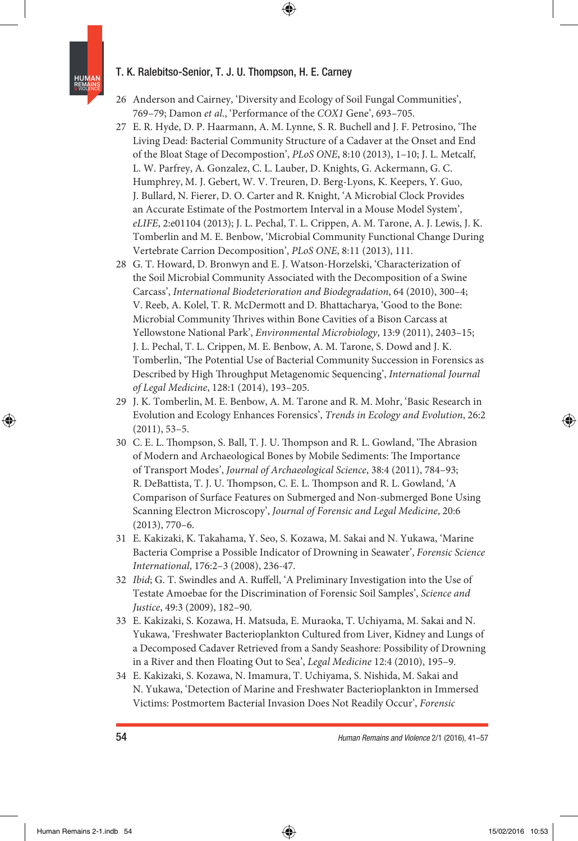

# T. K. Ralebitso-Senior, T. J. U. Thompson, H. E. Carney

- 26 Anderson and Cairney, 'Diversity and Ecology of Soil Fungal Communities', 769–79; Damon *et al*., 'Performance of the *COX1* Gene', 693–705.
- 27 E. R. Hyde, D. P. Haarmann, A. M. Lynne, S. R. Buchell and J. F. Petrosino, 'The Living Dead: Bacterial Community Structure of a Cadaver at the Onset and End of the Bloat Stage of Decompostion', *PLoS ONE*, 8:10 (2013), 1–10; J. L. Metcalf, L. W. Parfrey, A. Gonzalez, C. L. Lauber, D. Knights, G. Ackermann, G. C. Humphrey, M. J. Gebert, W. V. Treuren, D. Berg-Lyons, K. Keepers, Y. Guo, J. Bullard, N. Fierer, D. O. Carter and R. Knight, 'A Microbial Clock Provides an Accurate Estimate of the Postmortem Interval in a Mouse Model System', *eLIFE*, 2:e01104 (2013); J. L. Pechal, T. L. Crippen, A. M. Tarone, A. J. Lewis, J. K. Tomberlin and M. E. Benbow, 'Microbial Community Functional Change During Vertebrate Carrion Decomposition', *PLoS ONE*, 8:11 (2013), 111.
- 28 G. T. Howard, D. Bronwyn and E. J. Watson-Horzelski, 'Characterization of the Soil Microbial Community Associated with the Decomposition of a Swine Carcass', *International Biodeterioration and Biodegradation*, 64 (2010), 300–4; V. Reeb, A. Kolel, T. R. McDermott and D. Bhattacharya, 'Good to the Bone: Microbial Community Thrives within Bone Cavities of a Bison Carcass at Yellowstone National Park', *Environmental Microbiology*, 13:9 (2011), 2403–15; J. L. Pechal, T. L. Crippen, M. E. Benbow, A. M. Tarone, S. Dowd and J. K. Tomberlin, 'The Potential Use of Bacterial Community Succession in Forensics as Described by High Throughput Metagenomic Sequencing', *International Journal of Legal Medicine*, 128:1 (2014), 193–205.
- 29 J. K. Tomberlin, M. E. Benbow, A. M. Tarone and R. M. Mohr, 'Basic Research in Evolution and Ecology Enhances Forensics', *Trends in Ecology and Evolution*, 26:2 (2011), 53–5.
- 30 C. E. L. Thompson, S. Ball, T. J. U. Thompson and R. L. Gowland, 'The Abrasion of Modern and Archaeological Bones by Mobile Sediments: The Importance of Transport Modes', *Journal of Archaeological Science*, 38:4 (2011), 784–93; R. DeBattista, T. J. U. Thompson, C. E. L. Thompson and R. L. Gowland, 'A Comparison of Surface Features on Submerged and Non-submerged Bone Using Scanning Electron Microscopy', *Journal of Forensic and Legal Medicine*, 20:6 (2013), 770–6.
- 31 E. Kakizaki, K. Takahama, Y. Seo, S. Kozawa, M. Sakai and N. Yukawa, 'Marine Bacteria Comprise a Possible Indicator of Drowning in Seawater', *Forensic Science International*, 176:2–3 (2008), 236-47.
- 32 *Ibid*; G. T. Swindles and A. Ruffell, 'A Preliminary Investigation into the Use of Testate Amoebae for the Discrimination of Forensic Soil Samples', *Science and Justice*, 49:3 (2009), 182–90.
- 33 E. Kakizaki, S. Kozawa, H. Matsuda, E. Muraoka, T. Uchiyama, M. Sakai and N. Yukawa, 'Freshwater Bacterioplankton Cultured from Liver, Kidney and Lungs of a Decomposed Cadaver Retrieved from a Sandy Seashore: Possibility of Drowning in a River and then Floating Out to Sea', *Legal Medicine* 12:4 (2010), 195–9.
- 34 E. Kakizaki, S. Kozawa, N. Imamura, T. Uchiyama, S. Nishida, M. Sakai and N. Yukawa, 'Detection of Marine and Freshwater Bacterioplankton in Immersed Victims: Postmortem Bacterial Invasion Does Not Readily Occur', *Forensic*

*Human Remains and Violence* 2/1 (2016), 41–57

54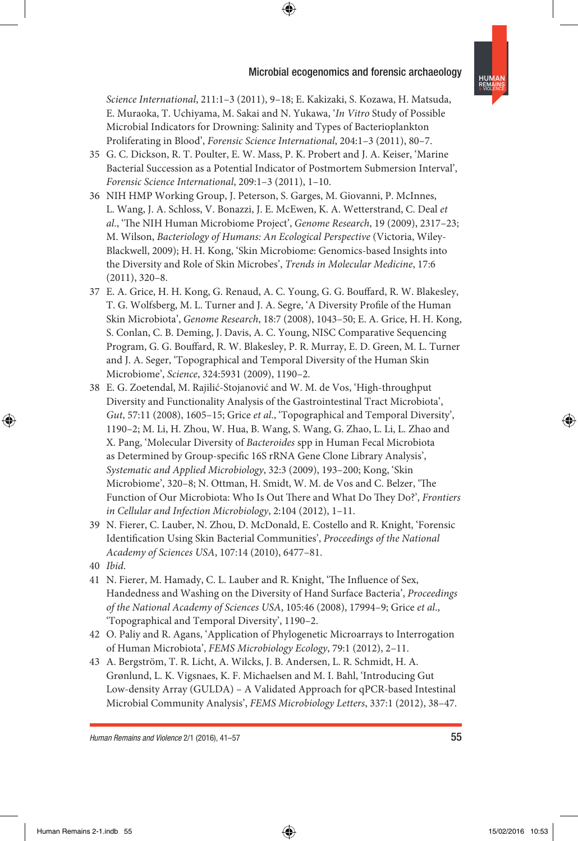

*Science International*, 211:1–3 (2011), 9–18; E. Kakizaki, S. Kozawa, H. Matsuda, E. Muraoka, T. Uchiyama, M. Sakai and N. Yukawa, '*In Vitro* Study of Possible Microbial Indicators for Drowning: Salinity and Types of Bacterioplankton Proliferating in Blood', *Forensic Science International*, 204:1–3 (2011), 80–7.

- 35 G. C. Dickson, R. T. Poulter, E. W. Mass, P. K. Probert and J. A. Keiser, 'Marine Bacterial Succession as a Potential Indicator of Postmortem Submersion Interval', *Forensic Science International*, 209:1–3 (2011), 1–10.
- 36 NIH HMP Working Group, J. Peterson, S. Garges, M. Giovanni, P. McInnes, L. Wang, J. A. Schloss, V. Bonazzi, J. E. McEwen, K. A. Wetterstrand, C. Deal *et al*., 'The NIH Human Microbiome Project', *Genome Research*, 19 (2009), 2317–23; M. Wilson, *Bacteriology of Humans: An Ecological Perspective* (Victoria, Wiley-Blackwell, 2009); H. H. Kong, 'Skin Microbiome: Genomics-based Insights into the Diversity and Role of Skin Microbes', *Trends in Molecular Medicine*, 17:6 (2011), 320–8.
- 37 E. A. Grice, H. H. Kong, G. Renaud, A. C. Young, G. G. Bouffard, R. W. Blakesley, T. G. Wolfsberg, M. L. Turner and J. A. Segre, 'A Diversity Profile of the Human Skin Microbiota', *Genome Research*, 18:7 (2008), 1043–50; E. A. Grice, H. H. Kong, S. Conlan, C. B. Deming, J. Davis, A. C. Young, NISC Comparative Sequencing Program, G. G. Bouffard, R. W. Blakesley, P. R. Murray, E. D. Green, M. L. Turner and J. A. Seger, 'Topographical and Temporal Diversity of the Human Skin Microbiome', *Science*, 324:5931 (2009), 1190–2.
- 38 E. G. Zoetendal, M. Rajilić-Stojanović and W. M. de Vos, 'High-throughput Diversity and Functionality Analysis of the Gastrointestinal Tract Microbiota', *Gut*, 57:11 (2008), 1605–15; Grice *et al*., 'Topographical and Temporal Diversity', 1190–2; M. Li, H. Zhou, W. Hua, B. Wang, S. Wang, G. Zhao, L. Li, L. Zhao and X. Pang, 'Molecular Diversity of *Bacteroides* spp in Human Fecal Microbiota as Determined by Group-specific 16S rRNA Gene Clone Library Analysis', *Systematic and Applied Microbiology*, 32:3 (2009), 193–200; Kong, 'Skin Microbiome', 320–8; N. Ottman, H. Smidt, W. M. de Vos and C. Belzer, 'The Function of Our Microbiota: Who Is Out There and What Do They Do?', *Frontiers in Cellular and Infection Microbiology*, 2:104 (2012), 1–11.
- 39 N. Fierer, C. Lauber, N. Zhou, D. McDonald, E. Costello and R. Knight, 'Forensic Identification Using Skin Bacterial Communities', *Proceedings of the National Academy of Sciences USA*, 107:14 (2010), 6477–81.
- 40 *Ibid*.

⊕

- 41 N. Fierer, M. Hamady, C. L. Lauber and R. Knight, 'The Influence of Sex, Handedness and Washing on the Diversity of Hand Surface Bacteria', *Proceedings of the National Academy of Sciences USA*, 105:46 (2008), 17994–9; Grice *et al*., 'Topographical and Temporal Diversity', 1190–2.
- 42 O. Paliy and R. Agans, 'Application of Phylogenetic Microarrays to Interrogation of Human Microbiota', *FEMS Microbiology Ecology*, 79:1 (2012), 2–11.
- 43 A. Bergström, T. R. Licht, A. Wilcks, J. B. Andersen, L. R. Schmidt, H. A. Grønlund, L. K. Vigsnaes, K. F. Michaelsen and M. I. Bahl, 'Introducing Gut Low-density Array (GULDA) – A Validated Approach for qPCR-based Intestinal Microbial Community Analysis', *FEMS Microbiology Letters*, 337:1 (2012), 38–47.

*Human Remains and Violence* 2/1 (2016), 41–57

55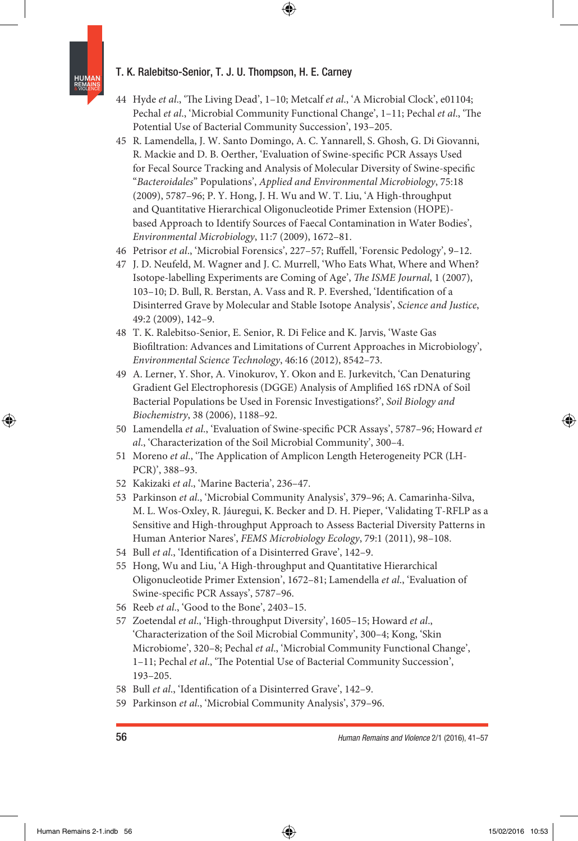

# T. K. Ralebitso-Senior, T. J. U. Thompson, H. E. Carney

- 44 Hyde *et al*., 'The Living Dead', 1–10; Metcalf *et al*., 'A Microbial Clock', e01104; Pechal *et al*., 'Microbial Community Functional Change', 1–11; Pechal *et al*., 'The Potential Use of Bacterial Community Succession', 193–205.
- 45 R. Lamendella, J. W. Santo Domingo, A. C. Yannarell, S. Ghosh, G. Di Giovanni, R. Mackie and D. B. Oerther, 'Evaluation of Swine-specific PCR Assays Used for Fecal Source Tracking and Analysis of Molecular Diversity of Swine-specific "*Bacteroidales*" Populations', *Applied and Environmental Microbiology*, 75:18 (2009), 5787–96; P. Y. Hong, J. H. Wu and W. T. Liu, 'A High-throughput and Quantitative Hierarchical Oligonucleotide Primer Extension (HOPE) based Approach to Identify Sources of Faecal Contamination in Water Bodies', *Environmental Microbiology*, 11:7 (2009), 1672–81.
- 46 Petrisor *et al*., 'Microbial Forensics', 227–57; Ruffell, 'Forensic Pedology', 9–12.
- 47 J. D. Neufeld, M. Wagner and J. C. Murrell, 'Who Eats What, Where and When? Isotope-labelling Experiments are Coming of Age', *The ISME Journal*, 1 (2007), 103–10; D. Bull, R. Berstan, A. Vass and R. P. Evershed, 'Identification of a Disinterred Grave by Molecular and Stable Isotope Analysis', *Science and Justice*, 49:2 (2009), 142–9.
- 48 T. K. Ralebitso-Senior, E. Senior, R. Di Felice and K. Jarvis, 'Waste Gas Biofiltration: Advances and Limitations of Current Approaches in Microbiology', *Environmental Science Technology*, 46:16 (2012), 8542–73.
- 49 A. Lerner, Y. Shor, A. Vinokurov, Y. Okon and E. Jurkevitch, 'Can Denaturing Gradient Gel Electrophoresis (DGGE) Analysis of Amplified 16S rDNA of Soil Bacterial Populations be Used in Forensic Investigations?', *Soil Biology and Biochemistry*, 38 (2006), 1188–92.
- 50 Lamendella *et al*., 'Evaluation of Swine-specific PCR Assays', 5787–96; Howard *et al*., 'Characterization of the Soil Microbial Community', 300–4.
- 51 Moreno *et al*., 'The Application of Amplicon Length Heterogeneity PCR (LH-PCR)', 388–93.
- 52 Kakizaki *et al*., 'Marine Bacteria', 236–47.
- 53 Parkinson *et al*., 'Microbial Community Analysis', 379–96; A. Camarinha-Silva, M. L. Wos-Oxley, R. Jáuregui, K. Becker and D. H. Pieper, 'Validating T-RFLP as a Sensitive and High-throughput Approach to Assess Bacterial Diversity Patterns in Human Anterior Nares', *FEMS Microbiology Ecology*, 79:1 (2011), 98–108.
- 54 Bull *et al*., 'Identification of a Disinterred Grave', 142–9.
- 55 Hong, Wu and Liu, 'A High-throughput and Quantitative Hierarchical Oligonucleotide Primer Extension', 1672–81; Lamendella *et al*., 'Evaluation of Swine-specific PCR Assays', 5787–96.
- 56 Reeb *et al*., 'Good to the Bone', 2403–15.
- 57 Zoetendal *et al*., 'High-throughput Diversity', 1605–15; Howard *et al*., 'Characterization of the Soil Microbial Community', 300–4; Kong, 'Skin Microbiome', 320–8; Pechal *et al*., 'Microbial Community Functional Change', 1–11; Pechal *et al*., 'The Potential Use of Bacterial Community Succession', 193–205.
- 58 Bull *et al*., 'Identification of a Disinterred Grave', 142–9.
- 59 Parkinson *et al*., 'Microbial Community Analysis', 379–96.

*Human Remains and Violence* 2/1 (2016), 41–57

56